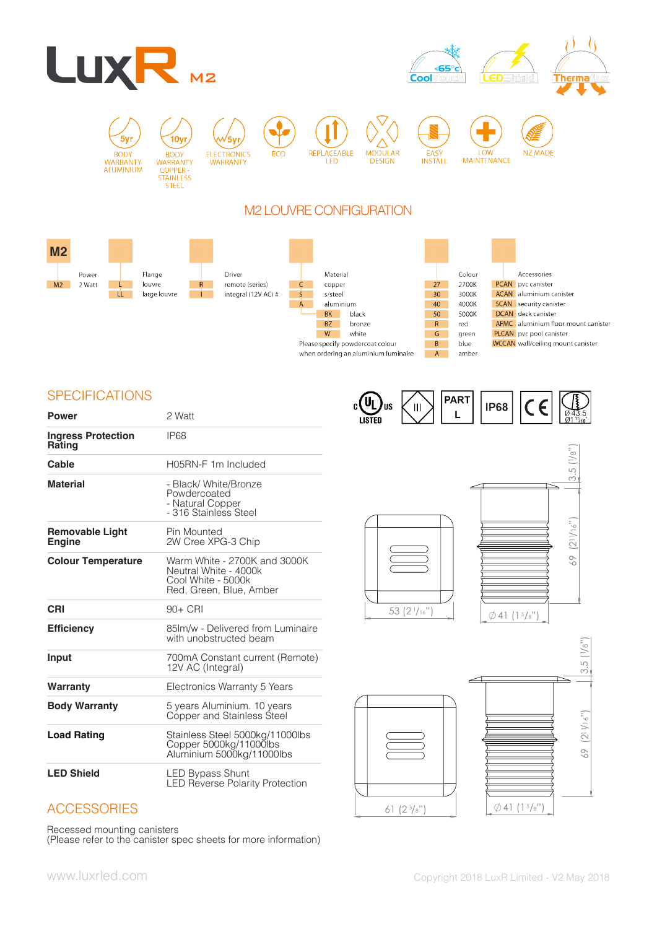





10y **RODY** WARRANTY COPPER -<br>
STAINLESS<br>
STEEL

ELECTRONICS<br>WARRANTY

**FCO** 

√5vı

**REPLACEARLE** LED

**MODULAR DESIGN** 

**EASY**<br>INSTALL

**IOW MAINTENANCE** 

**NZ MADE** 

# M2 LOUVRE CONFIGURATION



# **SPECIFICATIONS**

| <b>Power</b>                            | 2 Watt                                                                                                 |
|-----------------------------------------|--------------------------------------------------------------------------------------------------------|
| <b>Ingress Protection</b><br>Rating     | IP <sub>68</sub>                                                                                       |
| Cable                                   | H05RN-F 1m Included                                                                                    |
| <b>Material</b>                         | - Black/ White/Bronze<br>Powdercoated<br>- Natural Copper<br>- 316 Stainless Steel                     |
| <b>Removable Light</b><br><b>Engine</b> | Pin Mounted<br>2W Cree XPG-3 Chip                                                                      |
| <b>Colour Temperature</b>               | Warm White - 2700K and 3000K<br>Neutral White - 4000k<br>Cool White - 5000k<br>Red, Green, Blue, Amber |
| CRI                                     | $90+$ CRI                                                                                              |
| <b>Efficiency</b>                       | 85 m/w - Delivered from Luminaire<br>with unobstructed beam                                            |
| Input                                   | 700mA Constant current (Remote)<br>12V AC (Integral)                                                   |
| Warranty                                | Electronics Warranty 5 Years                                                                           |
| <b>Body Warranty</b>                    | 5 years Aluminium. 10 years<br>Copper and Stainless Steel                                              |
| <b>Load Rating</b>                      | Stainless Steel 5000kg/11000lbs<br>Copper 5000kg/11000lbs<br>Aluminium 5000kg/11000lbs                 |
| <b>LED Shield</b>                       | LED Bypass Shunt<br><b>LED Reverse Polarity Protection</b>                                             |











Recessed mounting canisters

(Please refer to the canister spec sheets for more information)